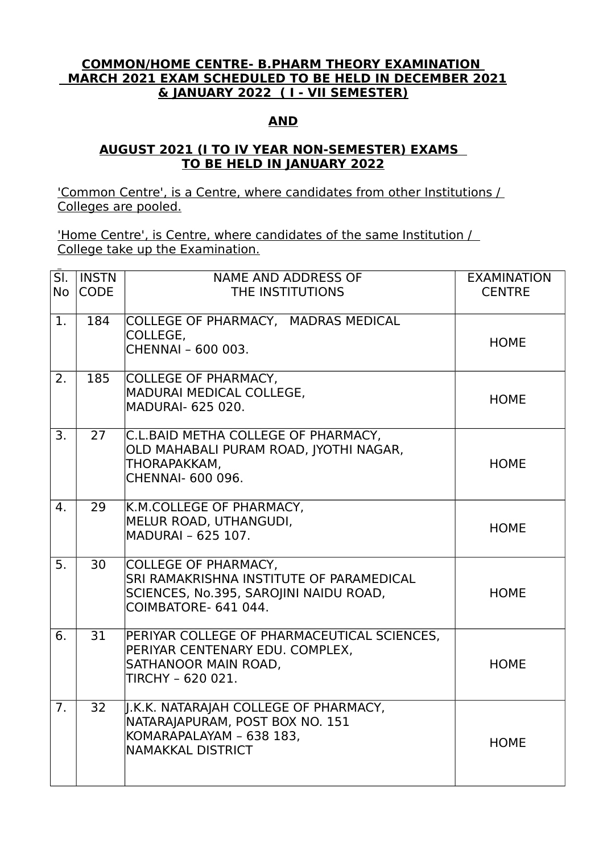## **COMMON/HOME CENTRE- B.PHARM THEORY EXAMINATION MARCH 2021 EXAM SCHEDULED TO BE HELD IN DECEMBER 2021 & JANUARY 2022 ( I - VII SEMESTER)**

## **AND**

## **AUGUST 2021 (I TO IV YEAR NON-SEMESTER) EXAMS TO BE HELD IN JANUARY 2022**

'Common Centre', is a Centre, where candidates from other Institutions / Colleges are pooled.

'Home Centre', is Centre, where candidates of the same Institution / College take up the Examination.

| SI.<br><b>No</b> | <b>INSTN</b><br><b>CODE</b> | <b>NAME AND ADDRESS OF</b><br>THE INSTITUTIONS                                                                                     | <b>EXAMINATION</b><br><b>CENTRE</b> |
|------------------|-----------------------------|------------------------------------------------------------------------------------------------------------------------------------|-------------------------------------|
| 1.               | 184                         | COLLEGE OF PHARMACY, MADRAS MEDICAL<br>COLLEGE,<br>CHENNAI - 600 003.                                                              | <b>HOME</b>                         |
| 2.               | 185                         | COLLEGE OF PHARMACY,<br>MADURAI MEDICAL COLLEGE,<br>MADURAI- 625 020.                                                              | <b>HOME</b>                         |
| 3.               | 27                          | C.L.BAID METHA COLLEGE OF PHARMACY,<br>OLD MAHABALI PURAM ROAD, JYOTHI NAGAR,<br>THORAPAKKAM,<br>CHENNAI- 600 096.                 | <b>HOME</b>                         |
| $\mathbf{4}$ .   | 29                          | K.M.COLLEGE OF PHARMACY,<br>MELUR ROAD, UTHANGUDI,<br>MADURAI - 625 107.                                                           | <b>HOME</b>                         |
| $\overline{5}$ . | 30                          | COLLEGE OF PHARMACY,<br>SRI RAMAKRISHNA INSTITUTE OF PARAMEDICAL<br>SCIENCES, No.395, SAROJINI NAIDU ROAD,<br>COIMBATORE- 641 044. | <b>HOME</b>                         |
| 6.               | 31                          | PERIYAR COLLEGE OF PHARMACEUTICAL SCIENCES,<br>PERIYAR CENTENARY EDU. COMPLEX,<br>SATHANOOR MAIN ROAD,<br>TIRCHY - 620 021.        | <b>HOME</b>                         |
| 7 <sub>1</sub>   | 32                          | J.K.K. NATARAJAH COLLEGE OF PHARMACY,<br>NATARAJAPURAM, POST BOX NO. 151<br>KOMARAPALAYAM - 638 183,<br>NAMAKKAL DISTRICT          | <b>HOME</b>                         |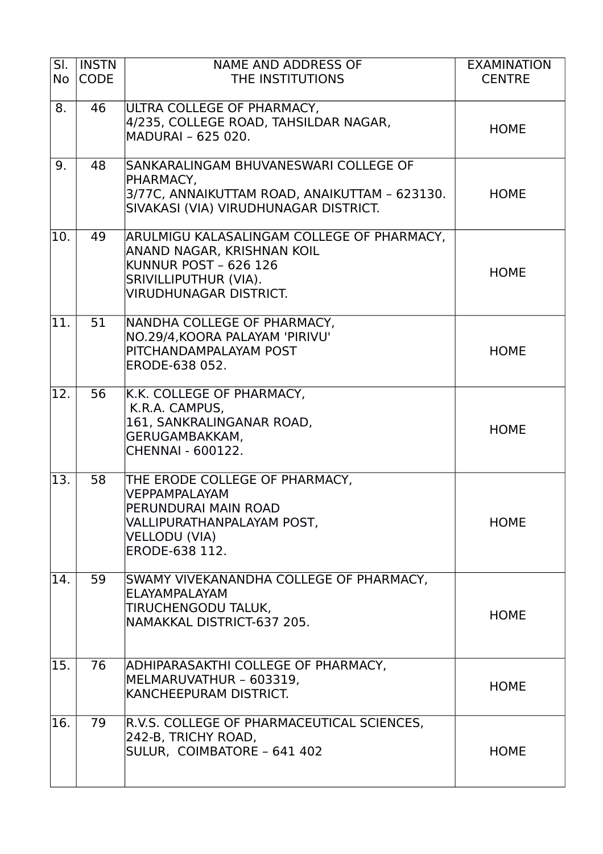| $\overline{\mathsf{SI}.}$<br><b>No</b> | <b>INSTN</b><br><b>CODE</b> | <b>NAME AND ADDRESS OF</b><br>THE INSTITUTIONS                                                                                                                     | <b>EXAMINATION</b><br><b>CENTRE</b> |
|----------------------------------------|-----------------------------|--------------------------------------------------------------------------------------------------------------------------------------------------------------------|-------------------------------------|
| 8.                                     | 46                          | ULTRA COLLEGE OF PHARMACY,<br>4/235, COLLEGE ROAD, TAHSILDAR NAGAR,<br>MADURAI - 625 020.                                                                          | <b>HOME</b>                         |
| 9.                                     | 48                          | SANKARALINGAM BHUVANESWARI COLLEGE OF<br>PHARMACY,<br>3/77C, ANNAIKUTTAM ROAD, ANAIKUTTAM - 623130.<br>SIVAKASI (VIA) VIRUDHUNAGAR DISTRICT.                       | <b>HOME</b>                         |
| 10.                                    | 49                          | ARULMIGU KALASALINGAM COLLEGE OF PHARMACY,<br>ANAND NAGAR, KRISHNAN KOIL<br><b>KUNNUR POST - 626 126</b><br>SRIVILLIPUTHUR (VIA).<br><b>VIRUDHUNAGAR DISTRICT.</b> | <b>HOME</b>                         |
| 11                                     | 51                          | NANDHA COLLEGE OF PHARMACY,<br>NO.29/4, KOORA PALAYAM 'PIRIVU'<br>PITCHANDAMPALAYAM POST<br>ERODE-638 052.                                                         | <b>HOME</b>                         |
| 12.                                    | 56                          | K.K. COLLEGE OF PHARMACY,<br>K.R.A. CAMPUS,<br>161, SANKRALINGANAR ROAD,<br>GERUGAMBAKKAM,<br><b>CHENNAI - 600122.</b>                                             | <b>HOME</b>                         |
| 13.                                    | 58                          | THE ERODE COLLEGE OF PHARMACY,<br><b>VEPPAMPALAYAM</b><br>PERUNDURAI MAIN ROAD<br>VALLIPURATHANPALAYAM POST,<br><b>VELLODU (VIA)</b><br>ERODE-638 112.             | <b>HOME</b>                         |
| 14.                                    | 59                          | SWAMY VIVEKANANDHA COLLEGE OF PHARMACY,<br>ELAYAMPALAYAM<br>TIRUCHENGODU TALUK,<br>NAMAKKAL DISTRICT-637 205.                                                      | <b>HOME</b>                         |
| 15.                                    | 76                          | ADHIPARASAKTHI COLLEGE OF PHARMACY,<br>MELMARUVATHUR - 603319,<br>KANCHEEPURAM DISTRICT.                                                                           | <b>HOME</b>                         |
| 16.                                    | 79                          | R.V.S. COLLEGE OF PHARMACEUTICAL SCIENCES,<br>242-B, TRICHY ROAD,<br>SULUR, COIMBATORE - 641 402                                                                   | <b>HOME</b>                         |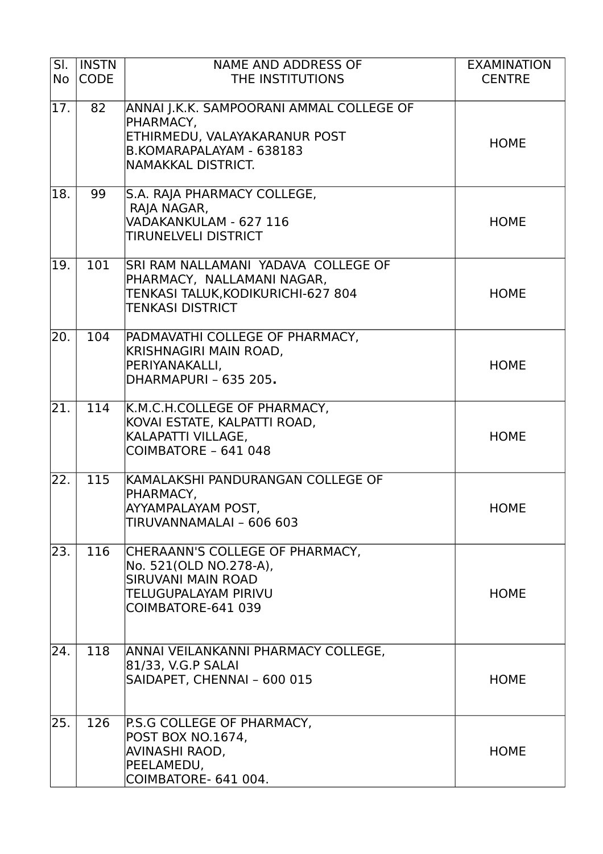| $\overline{\mathsf{S}}$ .<br><b>No</b> | <b>INSTN</b><br><b>CODE</b> | <b>NAME AND ADDRESS OF</b><br>THE INSTITUTIONS                                                                                           | <b>EXAMINATION</b><br><b>CENTRE</b> |
|----------------------------------------|-----------------------------|------------------------------------------------------------------------------------------------------------------------------------------|-------------------------------------|
| 17.                                    | 82                          | ANNAI J.K.K. SAMPOORANI AMMAL COLLEGE OF<br>PHARMACY,<br>ETHIRMEDU, VALAYAKARANUR POST<br>B.KOMARAPALAYAM - 638183<br>NAMAKKAL DISTRICT. | <b>HOME</b>                         |
| 18.                                    | 99                          | S.A. RAJA PHARMACY COLLEGE,<br>RAJA NAGAR,<br>VADAKANKULAM - 627 116<br><b>TIRUNELVELI DISTRICT</b>                                      | <b>HOME</b>                         |
| 19.                                    | 101                         | SRI RAM NALLAMANI YADAVA COLLEGE OF<br>PHARMACY, NALLAMANI NAGAR,<br>TENKASI TALUK, KODIKURICHI-627 804<br><b>TENKASI DISTRICT</b>       | <b>HOME</b>                         |
| $\overline{20}$ .                      | 104                         | PADMAVATHI COLLEGE OF PHARMACY,<br>KRISHNAGIRI MAIN ROAD,<br>PERIYANAKALLI,<br>DHARMAPURI - 635 205.                                     | <b>HOME</b>                         |
| 21.                                    | 114                         | K.M.C.H.COLLEGE OF PHARMACY,<br>KOVAI ESTATE, KALPATTI ROAD,<br>KALAPATTI VILLAGE,<br>COIMBATORE - 641 048                               | <b>HOME</b>                         |
| 22.                                    | 115                         | KAMALAKSHI PANDURANGAN COLLEGE OF<br>PHARMACY,<br>AYYAMPALAYAM POST.<br>TIRUVANNAMALAI - 606 603                                         | <b>HOME</b>                         |
| 23.                                    | 116                         | CHERAANN'S COLLEGE OF PHARMACY,<br>No. 521(OLD NO.278-A),<br><b>SIRUVANI MAIN ROAD</b><br>TELUGUPALAYAM PIRIVU<br>COIMBATORE-641 039     | <b>HOME</b>                         |
| $\overline{24}$ .                      | 118                         | ANNAI VEILANKANNI PHARMACY COLLEGE,<br>81/33, V.G.P SALAI<br>SAIDAPET, CHENNAI - 600 015                                                 | <b>HOME</b>                         |
| 25.                                    | 126                         | P.S.G COLLEGE OF PHARMACY,<br>POST BOX NO.1674,<br>AVINASHI RAOD,<br>PEELAMEDU,<br>COIMBATORE- 641 004.                                  | <b>HOME</b>                         |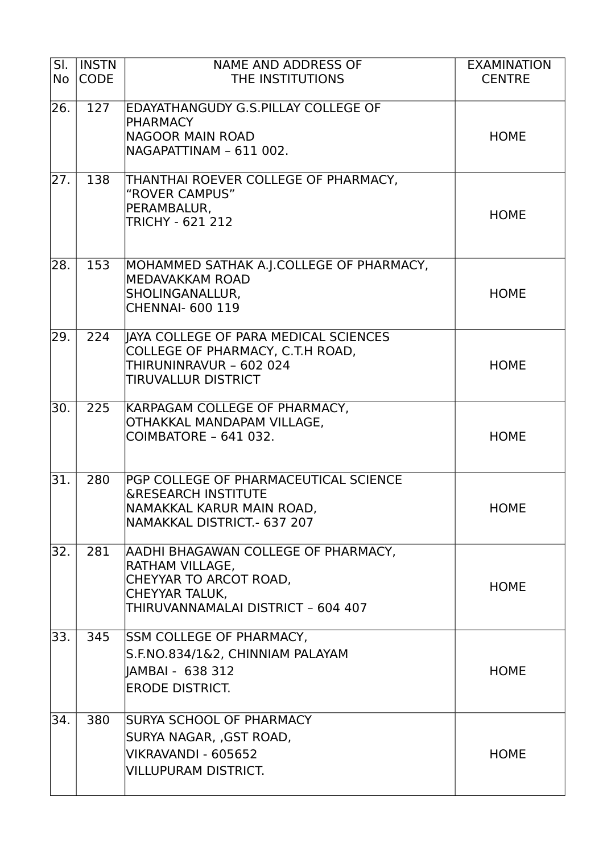| SI.<br><b>No</b> | <b>INSTN</b><br><b>CODE</b> | <b>NAME AND ADDRESS OF</b><br>THE INSTITUTIONS                                                                                                  | <b>EXAMINATION</b><br><b>CENTRE</b> |
|------------------|-----------------------------|-------------------------------------------------------------------------------------------------------------------------------------------------|-------------------------------------|
| 26.              | 127                         | EDAYATHANGUDY G.S.PILLAY COLLEGE OF<br><b>PHARMACY</b><br>NAGOOR MAIN ROAD<br>NAGAPATTINAM - 611 002.                                           | <b>HOME</b>                         |
| 27.              | 138                         | THANTHAI ROEVER COLLEGE OF PHARMACY,<br>"ROVER CAMPUS"<br>PERAMBALUR,<br><b>TRICHY - 621 212</b>                                                | <b>HOME</b>                         |
| 28.              | 153                         | MOHAMMED SATHAK A.J.COLLEGE OF PHARMACY,<br>MEDAVAKKAM ROAD<br>SHOLINGANALLUR,<br><b>CHENNAI- 600 119</b>                                       | <b>HOME</b>                         |
| $\overline{2}9.$ | 224                         | IAYA COLLEGE OF PARA MEDICAL SCIENCES<br>COLLEGE OF PHARMACY, C.T.H ROAD,<br>THIRUNINRAVUR - 602 024<br><b>TIRUVALLUR DISTRICT</b>              | <b>HOME</b>                         |
| 30.              | 225                         | KARPAGAM COLLEGE OF PHARMACY,<br>OTHAKKAL MANDAPAM VILLAGE,<br>COIMBATORE - 641 032.                                                            | <b>HOME</b>                         |
| $\overline{31.}$ | 280                         | PGP COLLEGE OF PHARMACEUTICAL SCIENCE<br><b>&amp;RESEARCH INSTITUTE</b><br>NAMAKKAL KARUR MAIN ROAD,<br>NAMAKKAL DISTRICT.- 637 207             | <b>HOME</b>                         |
| 32.              | 281                         | AADHI BHAGAWAN COLLEGE OF PHARMACY,<br>RATHAM VILLAGE,<br>CHEYYAR TO ARCOT ROAD,<br><b>CHEYYAR TALUK,</b><br>THIRUVANNAMALAI DISTRICT - 604 407 | <b>HOME</b>                         |
| 33.              | 345                         | <b>SSM COLLEGE OF PHARMACY,</b><br>S.F.NO.834/1&2, CHINNIAM PALAYAM<br>  AMBAI - 638 312<br><b>ERODE DISTRICT.</b>                              | <b>HOME</b>                         |
| 34.              | 380                         | SURYA SCHOOL OF PHARMACY<br>SURYA NAGAR, ,GST ROAD,<br>VIKRAVANDI - 605652<br><b>VILLUPURAM DISTRICT.</b>                                       | <b>HOME</b>                         |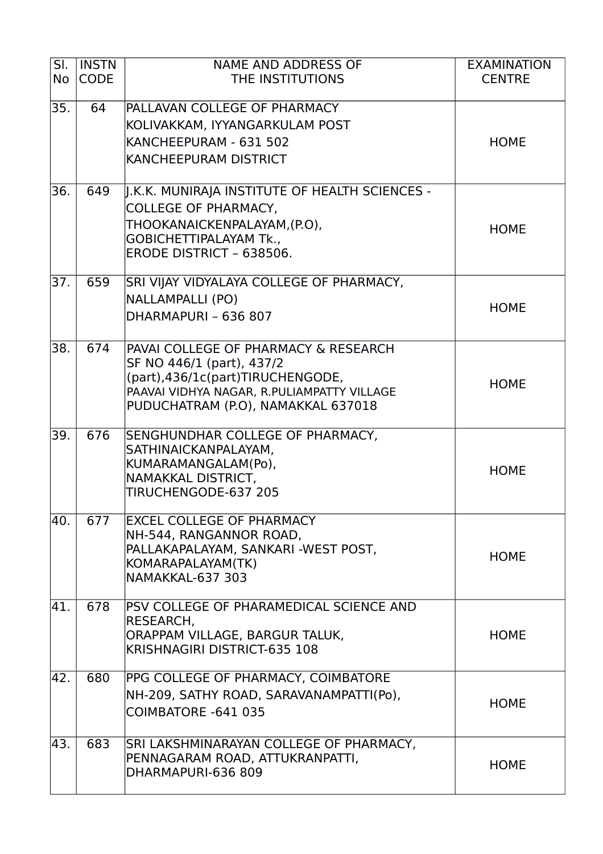| SI.       | <b>INSTN</b> | <b>NAME AND ADDRESS OF</b>                                                     | <b>EXAMINATION</b> |
|-----------|--------------|--------------------------------------------------------------------------------|--------------------|
| <b>No</b> | <b>CODE</b>  | THE INSTITUTIONS                                                               | <b>CENTRE</b>      |
| 35.       | 64           | PALLAVAN COLLEGE OF PHARMACY                                                   |                    |
|           |              | KOLIVAKKAM, IYYANGARKULAM POST                                                 |                    |
|           |              | KANCHEEPURAM - 631 502                                                         | <b>HOME</b>        |
|           |              | <b>KANCHEEPURAM DISTRICT</b>                                                   |                    |
| 36.       | 649          | J.K.K. MUNIRAJA INSTITUTE OF HEALTH SCIENCES -                                 |                    |
|           |              | COLLEGE OF PHARMACY,                                                           |                    |
|           |              | THOOKANAICKENPALAYAM,(P.O),                                                    | <b>HOME</b>        |
|           |              | <b>GOBICHETTIPALAYAM Tk.,</b>                                                  |                    |
|           |              | ERODE DISTRICT - 638506.                                                       |                    |
| 37.       | 659          | SRI VIJAY VIDYALAYA COLLEGE OF PHARMACY,                                       |                    |
|           |              | NALLAMPALLI (PO)                                                               | <b>HOME</b>        |
|           |              | DHARMAPURI - 636 807                                                           |                    |
| 38.       | 674          | PAVAI COLLEGE OF PHARMACY & RESEARCH                                           |                    |
|           |              | SF NO 446/1 (part), 437/2                                                      |                    |
|           |              | (part),436/1c(part)TIRUCHENGODE,<br>PAAVAI VIDHYA NAGAR, R.PULIAMPATTY VILLAGE | <b>HOME</b>        |
|           |              | PUDUCHATRAM (P.O), NAMAKKAL 637018                                             |                    |
|           |              |                                                                                |                    |
| 39.       | 676          | SENGHUNDHAR COLLEGE OF PHARMACY,                                               |                    |
|           |              | SATHINAICKANPALAYAM,<br>KUMARAMANGALAM(Po),                                    |                    |
|           |              | NAMAKKAL DISTRICT,                                                             | <b>HOME</b>        |
|           |              | TIRUCHENGODE-637 205                                                           |                    |
| 40.       | 677          | <b>EXCEL COLLEGE OF PHARMACY</b>                                               |                    |
|           |              | NH-544, RANGANNOR ROAD,                                                        |                    |
|           |              | PALLAKAPALAYAM, SANKARI-WEST POST,<br>KOMARAPALAYAM(TK)                        | <b>HOME</b>        |
|           |              | NAMAKKAL-637 303                                                               |                    |
|           |              |                                                                                |                    |
| 41.       | 678          | PSV COLLEGE OF PHARAMEDICAL SCIENCE AND<br>RESEARCH,                           |                    |
|           |              | ORAPPAM VILLAGE, BARGUR TALUK,                                                 | <b>HOME</b>        |
|           |              | KRISHNAGIRI DISTRICT-635 108                                                   |                    |
| 42.       | 680          | PPG COLLEGE OF PHARMACY, COIMBATORE                                            |                    |
|           |              | NH-209, SATHY ROAD, SARAVANAMPATTI(Po),                                        |                    |
|           |              | COIMBATORE -641 035                                                            | <b>HOME</b>        |
|           |              |                                                                                |                    |
| 43.       | 683          | SRI LAKSHMINARAYAN COLLEGE OF PHARMACY,<br>PENNAGARAM ROAD, ATTUKRANPATTI,     |                    |
|           |              | DHARMAPURI-636 809                                                             | <b>HOME</b>        |
|           |              |                                                                                |                    |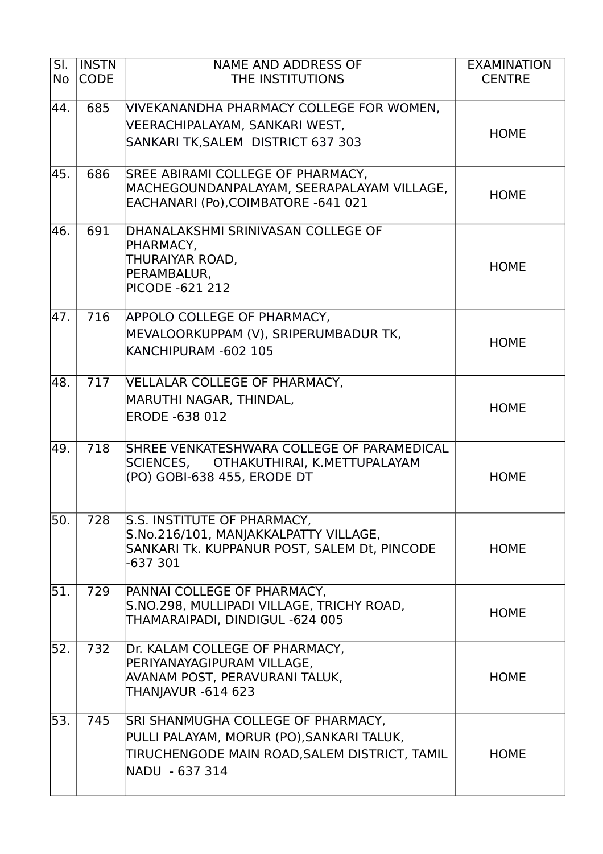| SI.<br><b>No</b> | <b>INSTN</b><br><b>CODE</b> | <b>NAME AND ADDRESS OF</b><br>THE INSTITUTIONS                                                                                                    | <b>EXAMINATION</b><br><b>CENTRE</b> |
|------------------|-----------------------------|---------------------------------------------------------------------------------------------------------------------------------------------------|-------------------------------------|
| 44.              | 685                         | VIVEKANANDHA PHARMACY COLLEGE FOR WOMEN,<br>VEERACHIPALAYAM, SANKARI WEST,<br>SANKARI TK, SALEM DISTRICT 637 303                                  | <b>HOME</b>                         |
| 45.              | 686                         | SREE ABIRAMI COLLEGE OF PHARMACY,<br>MACHEGOUNDANPALAYAM, SEERAPALAYAM VILLAGE,<br>EACHANARI (Po), COIMBATORE -641 021                            | <b>HOME</b>                         |
| 46.              | 691                         | DHANALAKSHMI SRINIVASAN COLLEGE OF<br>PHARMACY,<br>THURAIYAR ROAD,<br>PERAMBALUR,<br><b>PICODE -621 212</b>                                       | <b>HOME</b>                         |
| 47.              | 716                         | APPOLO COLLEGE OF PHARMACY,<br>MEVALOORKUPPAM (V), SRIPERUMBADUR TK,<br>KANCHIPURAM -602 105                                                      | <b>HOME</b>                         |
| 48.              | 717                         | VELLALAR COLLEGE OF PHARMACY,<br>MARUTHI NAGAR, THINDAL,<br><b>ERODE -638 012</b>                                                                 | <b>HOME</b>                         |
| 49.              | 718                         | SHREE VENKATESHWARA COLLEGE OF PARAMEDICAL<br>SCIENCES, OTHAKUTHIRAI, K.METTUPALAYAM<br>(PO) GOBI-638 455, ERODE DT                               | <b>HOME</b>                         |
| 50.              | 728                         | S.S. INSTITUTE OF PHARMACY,<br>S.No.216/101, MANJAKKALPATTY VILLAGE,<br>SANKARI Tk. KUPPANUR POST, SALEM Dt, PINCODE<br>-637 301                  | <b>HOME</b>                         |
| 51.              | 729                         | PANNAI COLLEGE OF PHARMACY,<br>S.NO.298, MULLIPADI VILLAGE, TRICHY ROAD,<br>THAMARAIPADI, DINDIGUL -624 005                                       | <b>HOME</b>                         |
| 52.              | 732                         | Dr. KALAM COLLEGE OF PHARMACY,<br>PERIYANAYAGIPURAM VILLAGE,<br>AVANAM POST, PERAVURANI TALUK,<br>THANJAVUR -614 623                              | <b>HOME</b>                         |
| 53.              | 745                         | SRI SHANMUGHA COLLEGE OF PHARMACY,<br>PULLI PALAYAM, MORUR (PO),SANKARI TALUK,<br>TIRUCHENGODE MAIN ROAD, SALEM DISTRICT, TAMIL<br>NADU - 637 314 | <b>HOME</b>                         |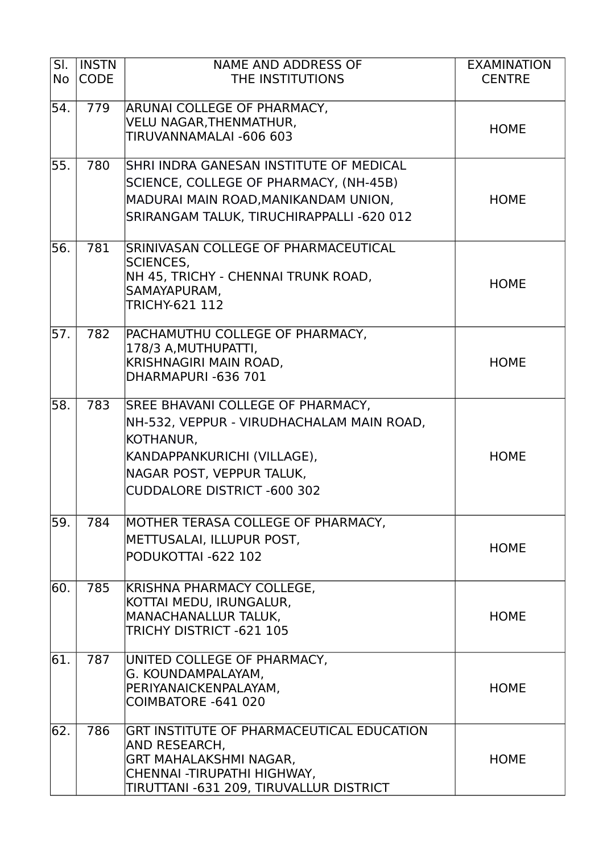| $\overline{\mathsf{SI}.}$<br><b>No</b> | <b>INSTN</b><br><b>CODE</b> | <b>NAME AND ADDRESS OF</b><br>THE INSTITUTIONS             | <b>EXAMINATION</b><br><b>CENTRE</b> |
|----------------------------------------|-----------------------------|------------------------------------------------------------|-------------------------------------|
| 54.                                    | 779                         | ARUNAI COLLEGE OF PHARMACY,                                |                                     |
|                                        |                             | VELU NAGAR, THENMATHUR,                                    | <b>HOME</b>                         |
|                                        |                             | TIRUVANNAMALAI -606 603                                    |                                     |
| 55.                                    | 780                         | SHRI INDRA GANESAN INSTITUTE OF MEDICAL                    |                                     |
|                                        |                             | SCIENCE, COLLEGE OF PHARMACY, (NH-45B)                     |                                     |
|                                        |                             | MADURAI MAIN ROAD, MANIKANDAM UNION,                       | <b>HOME</b>                         |
|                                        |                             | SRIRANGAM TALUK, TIRUCHIRAPPALLI -620 012                  |                                     |
| 56.                                    | 781                         | SRINIVASAN COLLEGE OF PHARMACEUTICAL                       |                                     |
|                                        |                             | <b>SCIENCES,</b><br>NH 45, TRICHY - CHENNAI TRUNK ROAD,    |                                     |
|                                        |                             | SAMAYAPURAM,                                               | <b>HOME</b>                         |
|                                        |                             | TRICHY-621 112                                             |                                     |
| 57.                                    | 782                         | PACHAMUTHU COLLEGE OF PHARMACY,                            |                                     |
|                                        |                             | 178/3 A, MUTHUPATTI,                                       |                                     |
|                                        |                             | KRISHNAGIRI MAIN ROAD,<br>DHARMAPURI-636 701               | <b>HOME</b>                         |
|                                        |                             |                                                            |                                     |
| 58.                                    | 783                         | SREE BHAVANI COLLEGE OF PHARMACY,                          |                                     |
|                                        |                             | NH-532, VEPPUR - VIRUDHACHALAM MAIN ROAD,                  |                                     |
|                                        |                             | KOTHANUR,                                                  |                                     |
|                                        |                             | KANDAPPANKURICHI (VILLAGE),                                | <b>HOME</b>                         |
|                                        |                             | NAGAR POST, VEPPUR TALUK,                                  |                                     |
|                                        |                             | <b>CUDDALORE DISTRICT -600 302</b>                         |                                     |
| 59.                                    | 784                         | MOTHER TERASA COLLEGE OF PHARMACY,                         |                                     |
|                                        |                             | METTUSALAI, ILLUPUR POST,                                  | <b>HOME</b>                         |
|                                        |                             | PODUKOTTAI -622 102                                        |                                     |
| 60.                                    | 785                         | KRISHNA PHARMACY COLLEGE,                                  |                                     |
|                                        |                             | KOTTAI MEDU, IRUNGALUR,<br><b>MANACHANALLUR TALUK,</b>     | <b>HOME</b>                         |
|                                        |                             | TRICHY DISTRICT -621 105                                   |                                     |
| 61.                                    | 787                         | UNITED COLLEGE OF PHARMACY,                                |                                     |
|                                        |                             | G. KOUNDAMPALAYAM,                                         |                                     |
|                                        |                             | PERIYANAICKENPALAYAM,                                      | <b>HOME</b>                         |
|                                        |                             | COIMBATORE - 641 020                                       |                                     |
| 62.                                    | 786                         | GRT INSTITUTE OF PHARMACEUTICAL EDUCATION<br>AND RESEARCH, |                                     |
|                                        |                             | <b>GRT MAHALAKSHMI NAGAR,</b>                              | <b>HOME</b>                         |
|                                        |                             | CHENNAI -TIRUPATHI HIGHWAY,                                |                                     |
|                                        |                             | TIRUTTANI -631 209, TIRUVALLUR DISTRICT                    |                                     |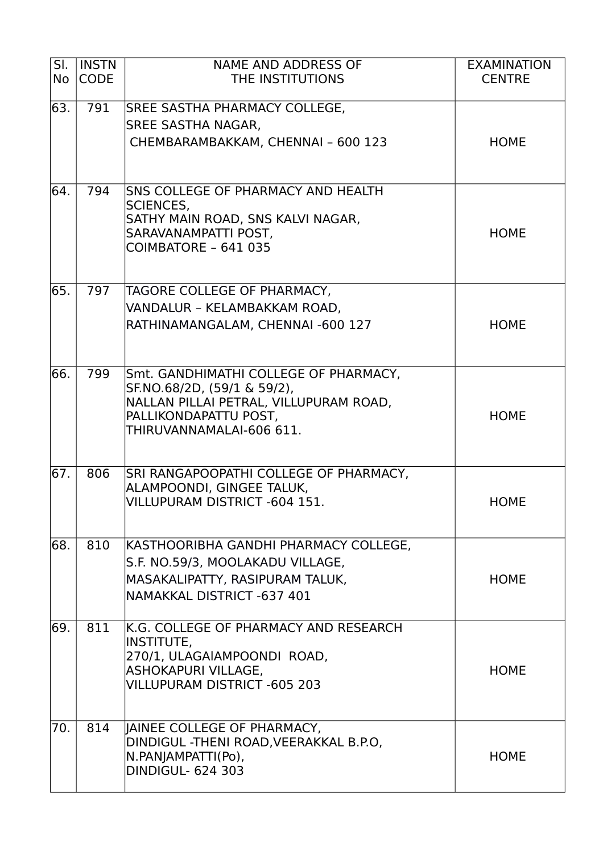| SI.<br><b>No</b> | <b>INSTN</b><br><b>CODE</b> | <b>NAME AND ADDRESS OF</b><br>THE INSTITUTIONS                                                                                                                      | <b>EXAMINATION</b><br><b>CENTRE</b> |
|------------------|-----------------------------|---------------------------------------------------------------------------------------------------------------------------------------------------------------------|-------------------------------------|
| 63.              | 791                         | <b>SREE SASTHA PHARMACY COLLEGE,</b><br><b>SREE SASTHA NAGAR,</b><br>CHEMBARAMBAKKAM, CHENNAI - 600 123                                                             | <b>HOME</b>                         |
| 64.              | 794                         | <b>SNS COLLEGE OF PHARMACY AND HEALTH</b><br><b>SCIENCES,</b><br>SATHY MAIN ROAD, SNS KALVI NAGAR,<br>SARAVANAMPATTI POST,<br>COIMBATORE - 641 035                  | <b>HOME</b>                         |
| 65.              | 797                         | TAGORE COLLEGE OF PHARMACY,<br>VANDALUR - KELAMBAKKAM ROAD,<br>RATHINAMANGALAM, CHENNAI -600 127                                                                    | <b>HOME</b>                         |
| 66.              | 799                         | Smt. GANDHIMATHI COLLEGE OF PHARMACY,<br>SF.NO.68/2D, (59/1 & 59/2),<br>NALLAN PILLAI PETRAL, VILLUPURAM ROAD,<br>PALLIKONDAPATTU POST,<br>THIRUVANNAMALAI-606 611. | <b>HOME</b>                         |
| 67.              | 806                         | SRI RANGAPOOPATHI COLLEGE OF PHARMACY,<br>ALAMPOONDI, GINGEE TALUK,<br>VILLUPURAM DISTRICT -604 151.                                                                | <b>HOME</b>                         |
| 68.              | 810                         | KASTHOORIBHA GANDHI PHARMACY COLLEGE,<br>S.F. NO.59/3, MOOLAKADU VILLAGE,<br>MASAKALIPATTY, RASIPURAM TALUK,<br>NAMAKKAL DISTRICT -637 401                          | <b>HOME</b>                         |
| 69.              | 811                         | K.G. COLLEGE OF PHARMACY AND RESEARCH<br><b>INSTITUTE,</b><br>270/1, ULAGAIAMPOONDI ROAD,<br>ASHOKAPURI VILLAGE,<br><b>VILLUPURAM DISTRICT -605 203</b>             | <b>HOME</b>                         |
| 70.              | 814                         | JAINEE COLLEGE OF PHARMACY,<br>DINDIGUL -THENI ROAD, VEERAKKAL B.P.O,<br>N.PANJAMPATTI(Po),<br><b>DINDIGUL- 624 303</b>                                             | <b>HOME</b>                         |